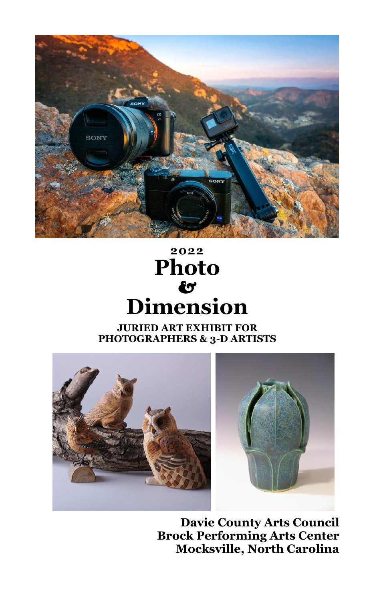

# **2022 Photo** & **Dimension**

#### **JURIED ART EXHIBIT FOR PHOTOGRAPHERS & 3-D ARTISTS**





**Davie County Arts Council Brock Performing Arts Center Mocksville, North Carolina**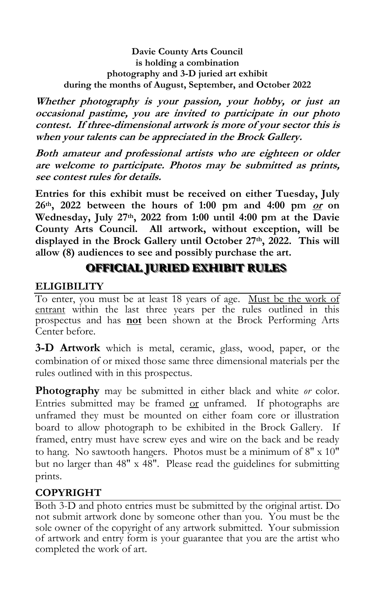**Davie County Arts Council is holding a combination photography and 3-D juried art exhibit during the months of August, September, and October 2022**

**Whether photography is your passion, your hobby, or just an occasional pastime, you are invited to participate in our photo contest. If three-dimensional artwork is more of your sector this is when your talents can be appreciated in the Brock Gallery.**

**Both amateur and professional artists who are eighteen or older are welcome to participate. Photos may be submitted as prints, see contest rules for details.** 

**Entries for this exhibit must be received on either Tuesday, July 26th, 2022 between the hours of 1:00 pm and 4:00 pm or on Wednesday, July 27th, 2022 from 1:00 until 4:00 pm at the Davie County Arts Council. All artwork, without exception, will be displayed in the Brock Gallery until October 27th, 2022. This will allow (8) audiences to see and possibly purchase the art.**

# **OFFICIAL JURIED EXHIBIT RULES**

## **ELIGIBILITY**

To enter, you must be at least 18 years of age. Must be the work of entrant within the last three years per the rules outlined in this prospectus and has **not** been shown at the Brock Performing Arts Center before.

**3-D Artwork** which is metal, ceramic, glass, wood, paper, or the combination of or mixed those same three dimensional materials per the rules outlined with in this prospectus.

**Photography** may be submitted in either black and white *or* color. Entries submitted may be framed or unframed. If photographs are unframed they must be mounted on either foam core or illustration board to allow photograph to be exhibited in the Brock Gallery. If framed, entry must have screw eyes and wire on the back and be ready to hang. No sawtooth hangers. Photos must be a minimum of 8" x 10" but no larger than 48" x 48". Please read the guidelines for submitting prints.

# **COPYRIGHT**

Both 3-D and photo entries must be submitted by the original artist. Do not submit artwork done by someone other than you. You must be the sole owner of the copyright of any artwork submitted. Your submission of artwork and entry form is your guarantee that you are the artist who completed the work of art.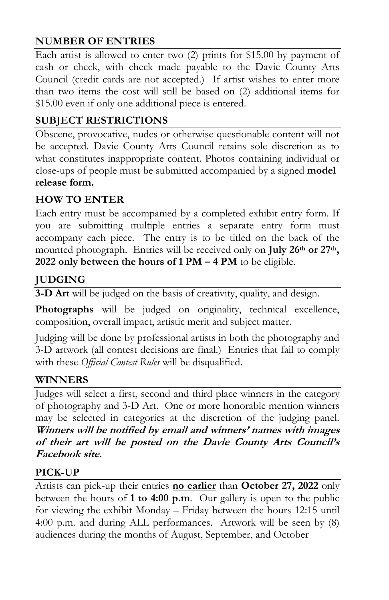## **NUMBER OF ENTRIES**

Each artist is allowed to enter two (2) prints for \$15.00 by payment of cash or check, with check made payable to the Davie County Arts Council (credit cards are not accepted.) If artist wishes to enter more than two items the cost will still be based on (2) additional items for \$15.00 even if only one additional piece is entered.

# **SUBJECT RESTRICTIONS**

Obscene, provocative, nudes or otherwise questionable content will not be accepted. Davie County Arts Council retains sole discretion as to what constitutes inappropriate content. Photos containing individual or close-ups of people must be submitted accompanied by a signed **[model](file:///F:/Local%20Settings/Temporary%20Internet%20Files/Content.IE5/4ES43XD8/modelrelease.php) [release form.](file:///F:/Local%20Settings/Temporary%20Internet%20Files/Content.IE5/4ES43XD8/modelrelease.php)** 

# **HOW TO ENTER**

Each entry must be accompanied by a completed exhibit entry form. If you are submitting multiple entries a separate entry form must accompany each piece. The entry is to be titled on the back of the mounted photograph. Entries will be received only on **July 26th or 27th, 2022 only between the hours of 1 PM – 4 PM** to be eligible.

# **JUDGING**

**3-D Art** will be judged on the basis of creativity, quality, and design.

**Photographs** will be judged on originality, technical excellence, composition, overall impact, artistic merit and subject matter.

Judging will be done by professional artists in both the photography and 3-D artwork (all contest decisions are final.) Entries that fail to comply with these *Official Contest Rules* will be disqualified.

## **WINNERS**

Judges will select a first, second and third place winners in the category of photography and 3-D Art. One or more honorable mention winners may be selected in categories at the discretion of the judging panel. **Winners will be notified by email and winners' names with images of their art will be posted on the Davie County Arts Council's Facebook site.**

## **PICK-UP**

Artists can pick-up their entries **no earlier** than **October 27, 2022** only between the hours of **1 to 4:00 p.m**. Our gallery is open to the public for viewing the exhibit Monday – Friday between the hours 12:15 until 4:00 p.m. and during ALL performances. Artwork will be seen by (8) audiences during the months of August, September, and October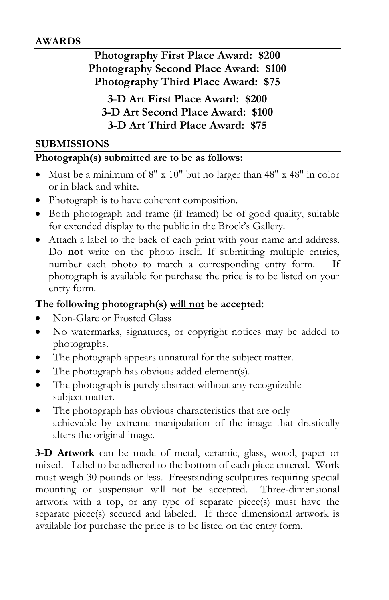#### **AWARDS**

**Photography First Place Award: \$200 Photography Second Place Award: \$100 Photography Third Place Award: \$75**

**3-D Art First Place Award: \$200 3-D Art Second Place Award: \$100 3-D Art Third Place Award: \$75**

#### **SUBMISSIONS**

#### **Photograph(s) submitted are to be as follows:**

- Must be a minimum of 8" x 10" but no larger than 48" x 48" in color or in black and white.
- Photograph is to have coherent composition.
- Both photograph and frame (if framed) be of good quality, suitable for extended display to the public in the Brock's Gallery.
- Attach a label to the back of each print with your name and address. Do **not** write on the photo itself. If submitting multiple entries, number each photo to match a corresponding entry form. If photograph is available for purchase the price is to be listed on your entry form.

### **The following photograph(s) will not be accepted:**

- Non-Glare or Frosted Glass
- No watermarks, signatures, or copyright notices may be added to photographs.
- The photograph appears unnatural for the subject matter.
- The photograph has obvious added element(s).
- The photograph is purely abstract without any recognizable subject matter.
- The photograph has obvious characteristics that are only achievable by extreme manipulation of the image that drastically alters the original image.

**3-D Artwork** can be made of metal, ceramic, glass, wood, paper or mixed. Label to be adhered to the bottom of each piece entered. Work must weigh 30 pounds or less. Freestanding sculptures requiring special mounting or suspension will not be accepted. Three-dimensional artwork with a top, or any type of separate piece(s) must have the separate piece(s) secured and labeled. If three dimensional artwork is available for purchase the price is to be listed on the entry form.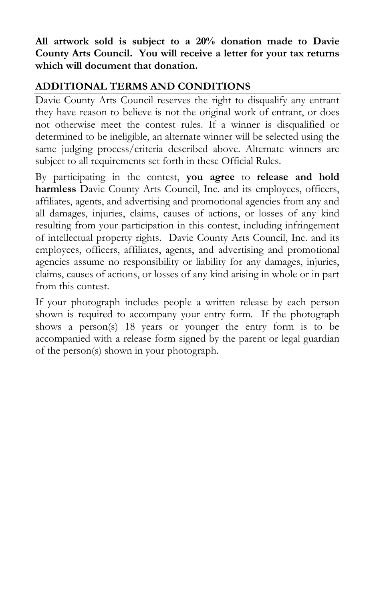**All artwork sold is subject to a 20% donation made to Davie County Arts Council. You will receive a letter for your tax returns which will document that donation.**

# **ADDITIONAL TERMS AND CONDITIONS**

Davie County Arts Council reserves the right to disqualify any entrant they have reason to believe is not the original work of entrant, or does not otherwise meet the contest rules. If a winner is disqualified or determined to be ineligible, an alternate winner will be selected using the same judging process/criteria described above. Alternate winners are subject to all requirements set forth in these Official Rules.

By participating in the contest, **you agree** to **release and hold harmless** Davie County Arts Council, Inc. and its employees, officers, affiliates, agents, and advertising and promotional agencies from any and all damages, injuries, claims, causes of actions, or losses of any kind resulting from your participation in this contest, including infringement of intellectual property rights. Davie County Arts Council, Inc. and its employees, officers, affiliates, agents, and advertising and promotional agencies assume no responsibility or liability for any damages, injuries, claims, causes of actions, or losses of any kind arising in whole or in part from this contest.

If your photograph includes people a written release by each person shown is required to accompany your entry form. If the photograph shows a person(s) 18 years or younger the entry form is to be accompanied with a release form signed by the parent or legal guardian of the person(s) shown in your photograph.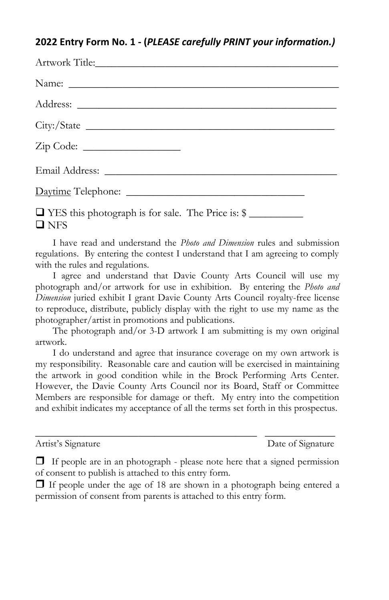### **2022 Entry Form No. 1 - (***PLEASE carefully PRINT your information.)*

| □ YES this photograph is for sale. The Price is: \$<br>$\Box$ NFS |
|-------------------------------------------------------------------|

I have read and understand the *Photo and Dimension* rules and submission regulations. By entering the contest I understand that I am agreeing to comply with the rules and regulations.

I agree and understand that Davie County Arts Council will use my photograph and/or artwork for use in exhibition. By entering the *Photo and Dimension* juried exhibit I grant Davie County Arts Council royalty-free license to reproduce, distribute, publicly display with the right to use my name as the photographer/artist in promotions and publications.

The photograph and/or 3-D artwork I am submitting is my own original artwork.

I do understand and agree that insurance coverage on my own artwork is my responsibility. Reasonable care and caution will be exercised in maintaining the artwork in good condition while in the Brock Performing Arts Center. However, the Davie County Arts Council nor its Board, Staff or Committee Members are responsible for damage or theft. My entry into the competition and exhibit indicates my acceptance of all the terms set forth in this prospectus.

Artist's Signature Date of Signature

\_\_\_\_\_\_\_\_\_\_\_\_\_\_\_\_\_\_\_\_\_\_\_\_\_\_\_\_\_\_\_\_\_\_\_\_\_\_\_\_\_ \_\_\_\_\_\_\_\_\_\_\_\_\_

 $\Box$  If people are in an photograph - please note here that a signed permission of consent to publish is attached to this entry form.

 $\Box$  If people under the age of 18 are shown in a photograph being entered a permission of consent from parents is attached to this entry form.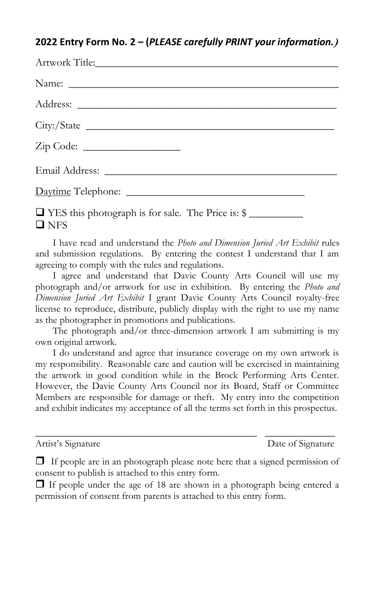#### **2022 Entry Form No. 2 – (***PLEASE carefully PRINT your information.***)**

| Email Address: No. 1996. The Contract of the Contract of the Contract of the Contract of the Contract of the Contract of the Contract of the Contract of the Contract of the Contract of the Contract of the Contract of the C |
|--------------------------------------------------------------------------------------------------------------------------------------------------------------------------------------------------------------------------------|
|                                                                                                                                                                                                                                |
| □ YES this photograph is for sale. The Price is: \$<br>$\Box$ NFS                                                                                                                                                              |

I have read and understand the *Photo and Dimension Juried Art Exhibit* rules and submission regulations. By entering the contest I understand that I am agreeing to comply with the rules and regulations.

I agree and understand that Davie County Arts Council will use my photograph and/or artwork for use in exhibition. By entering the *Photo and Dimension Juried Art Exhibit* I grant Davie County Arts Council royalty-free license to reproduce, distribute, publicly display with the right to use my name as the photographer in promotions and publications.

The photograph and/or three-dimension artwork I am submitting is my own original artwork.

I do understand and agree that insurance coverage on my own artwork is my responsibility. Reasonable care and caution will be exercised in maintaining the artwork in good condition while in the Brock Performing Arts Center. However, the Davie County Arts Council nor its Board, Staff or Committee Members are responsible for damage or theft. My entry into the competition and exhibit indicates my acceptance of all the terms set forth in this prospectus.

Artist's Signature Date of Signature

\_\_\_\_\_\_\_\_\_\_\_\_\_\_\_\_\_\_\_\_\_\_\_\_\_\_\_\_\_\_\_\_\_\_\_\_\_\_\_\_\_ \_\_\_\_\_\_\_\_\_\_\_\_\_

 $\Box$  If people are in an photograph please note here that a signed permission of consent to publish is attached to this entry form.

 $\Box$  If people under the age of 18 are shown in a photograph being entered a permission of consent from parents is attached to this entry form.